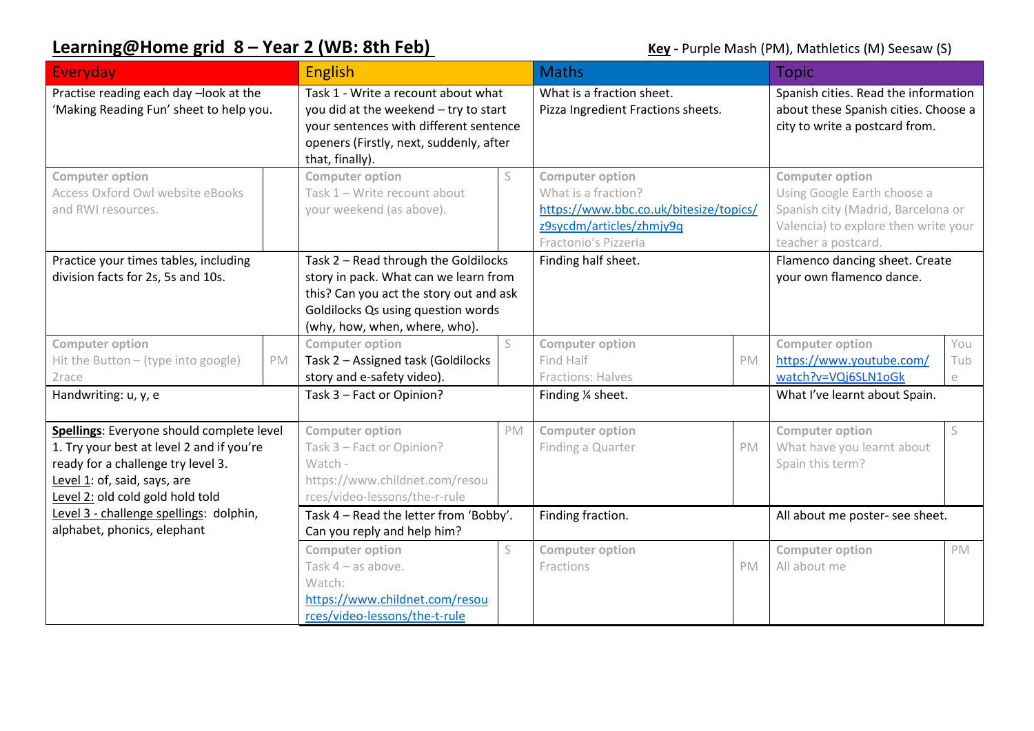## **Learning@Home grid 8 – Year 2 (WB: 8th Feb) Company 3 (Key - Purple Mash (PM), Mathletics (M) Seesaw (S)**

| Everyday                                                                                                                                                                                         |    | <b>English</b>                                                                                                                                                                                  |    | <b>Maths</b>                                                                                                                                |           | <b>Topic</b>                                                                                                                                               |                 |
|--------------------------------------------------------------------------------------------------------------------------------------------------------------------------------------------------|----|-------------------------------------------------------------------------------------------------------------------------------------------------------------------------------------------------|----|---------------------------------------------------------------------------------------------------------------------------------------------|-----------|------------------------------------------------------------------------------------------------------------------------------------------------------------|-----------------|
| Practise reading each day -look at the<br>'Making Reading Fun' sheet to help you.                                                                                                                |    | Task 1 - Write a recount about what<br>you did at the weekend - try to start<br>your sentences with different sentence<br>openers (Firstly, next, suddenly, after<br>that, finally).            |    | What is a fraction sheet.<br>Pizza Ingredient Fractions sheets.                                                                             |           | Spanish cities. Read the information<br>about these Spanish cities. Choose a<br>city to write a postcard from.                                             |                 |
| <b>Computer option</b><br>Access Oxford Owl website eBooks<br>and RWI resources.                                                                                                                 |    | <b>Computer option</b><br>Task 1 - Write recount about<br>your weekend (as above).                                                                                                              |    | <b>Computer option</b><br>What is a fraction?<br>https://www.bbc.co.uk/bitesize/topics/<br>z9sycdm/articles/zhmjy9q<br>Fractonio's Pizzeria |           | <b>Computer option</b><br>Using Google Earth choose a<br>Spanish city (Madrid, Barcelona or<br>Valencia) to explore then write your<br>teacher a postcard. |                 |
| Practice your times tables, including<br>division facts for 2s, 5s and 10s.                                                                                                                      |    | Task 2 - Read through the Goldilocks<br>story in pack. What can we learn from<br>this? Can you act the story out and ask<br>Goldilocks Qs using question words<br>(why, how, when, where, who). |    | Finding half sheet.                                                                                                                         |           | Flamenco dancing sheet. Create<br>your own flamenco dance.                                                                                                 |                 |
| <b>Computer option</b><br>Hit the Button - (type into google)<br>2race                                                                                                                           | PM | <b>Computer option</b><br>Task 2 - Assigned task (Goldilocks<br>story and e-safety video).                                                                                                      | S  | <b>Computer option</b><br>Find Half<br>Fractions: Halves                                                                                    | PM        | <b>Computer option</b><br>https://www.youtube.com/<br>watch?v=VQj6SLN1oGk                                                                                  | You<br>Tub<br>e |
| Handwriting: u, y, e                                                                                                                                                                             |    | Task 3 - Fact or Opinion?                                                                                                                                                                       |    | Finding 1/4 sheet.                                                                                                                          |           | What I've learnt about Spain.                                                                                                                              |                 |
| Spellings: Everyone should complete level<br>1. Try your best at level 2 and if you're<br>ready for a challenge try level 3.<br>Level 1: of, said, says, are<br>Level 2: old cold gold hold told |    | <b>Computer option</b><br>Task 3 - Fact or Opinion?<br>Watch -<br>https://www.childnet.com/resou<br>rces/video-lessons/the-r-rule                                                               | PM | <b>Computer option</b><br>Finding a Quarter                                                                                                 | PM        | <b>Computer option</b><br>What have you learnt about<br>Spain this term?                                                                                   | S               |
| Level 3 - challenge spellings: dolphin,<br>alphabet, phonics, elephant                                                                                                                           |    | Task 4 - Read the letter from 'Bobby'.<br>Can you reply and help him?                                                                                                                           |    | Finding fraction.                                                                                                                           |           | All about me poster- see sheet.                                                                                                                            |                 |
|                                                                                                                                                                                                  |    | <b>Computer option</b><br>Task $4 - as above$ .<br>Watch:<br>https://www.childnet.com/resou<br>rces/video-lessons/the-t-rule                                                                    | S  | <b>Computer option</b><br>Fractions                                                                                                         | <b>PM</b> | <b>Computer option</b><br>All about me                                                                                                                     | PM              |